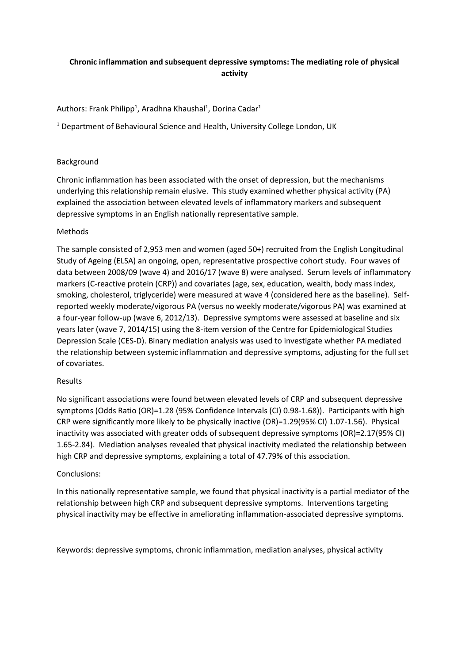# **Chronic inflammation and subsequent depressive symptoms: The mediating role of physical activity**

Authors: Frank Philipp<sup>1</sup>, Aradhna Khaushal<sup>1</sup>, Dorina Cadar<sup>1</sup>

<sup>1</sup> Department of Behavioural Science and Health, University College London, UK

## Background

Chronic inflammation has been associated with the onset of depression, but the mechanisms underlying this relationship remain elusive. This study examined whether physical activity (PA) explained the association between elevated levels of inflammatory markers and subsequent depressive symptoms in an English nationally representative sample.

## Methods

The sample consisted of 2,953 men and women (aged 50+) recruited from the English Longitudinal Study of Ageing (ELSA) an ongoing, open, representative prospective cohort study. Four waves of data between 2008/09 (wave 4) and 2016/17 (wave 8) were analysed. Serum levels of inflammatory markers (C-reactive protein (CRP)) and covariates (age, sex, education, wealth, body mass index, smoking, cholesterol, triglyceride) were measured at wave 4 (considered here as the baseline). Selfreported weekly moderate/vigorous PA (versus no weekly moderate/vigorous PA) was examined at a four-year follow-up (wave 6, 2012/13). Depressive symptoms were assessed at baseline and six years later (wave 7, 2014/15) using the 8-item version of the Centre for Epidemiological Studies Depression Scale (CES-D). Binary mediation analysis was used to investigate whether PA mediated the relationship between systemic inflammation and depressive symptoms, adjusting for the full set of covariates.

## Results

No significant associations were found between elevated levels of CRP and subsequent depressive symptoms (Odds Ratio (OR)=1.28 (95% Confidence Intervals (CI) 0.98-1.68)). Participants with high CRP were significantly more likely to be physically inactive (OR)=1.29(95% CI) 1.07-1.56). Physical inactivity was associated with greater odds of subsequent depressive symptoms (OR)=2.17(95% CI) 1.65-2.84). Mediation analyses revealed that physical inactivity mediated the relationship between high CRP and depressive symptoms, explaining a total of 47.79% of this association.

## Conclusions:

In this nationally representative sample, we found that physical inactivity is a partial mediator of the relationship between high CRP and subsequent depressive symptoms. Interventions targeting physical inactivity may be effective in ameliorating inflammation-associated depressive symptoms.

Keywords: depressive symptoms, chronic inflammation, mediation analyses, physical activity